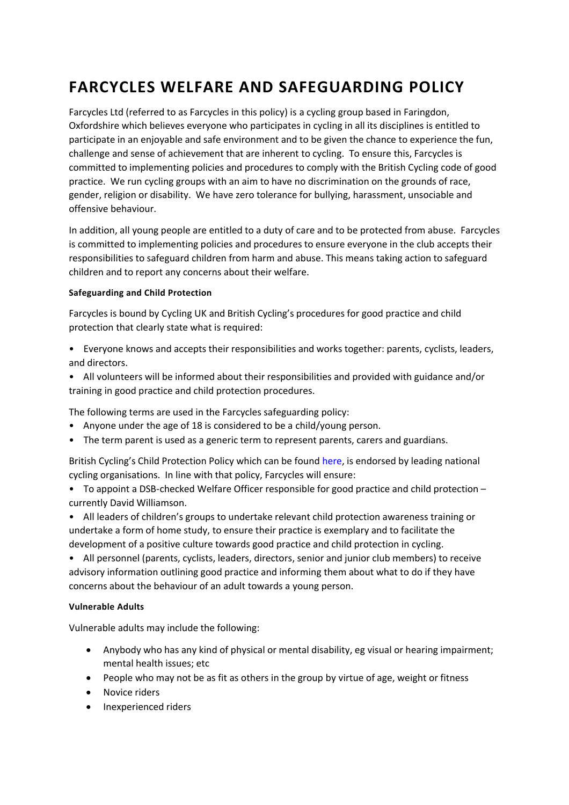# **FARCYCLES WELFARE AND SAFEGUARDING POLICY**

Farcycles Ltd (referred to as Farcycles in this policy) is a cycling group based in Faringdon, Oxfordshire which believes everyone who participates in cycling in all its disciplines is entitled to participate in an enjoyable and safe environment and to be given the chance to experience the fun, challenge and sense of achievement that are inherent to cycling. To ensure this, Farcycles is committed to implementing policies and procedures to comply with the British Cycling code of good practice. We run cycling groups with an aim to have no discrimination on the grounds of race, gender, religion or disability. We have zero tolerance for bullying, harassment, unsociable and offensive behaviour.

In addition, all young people are entitled to a duty of care and to be protected from abuse. Farcycles is committed to implementing policies and procedures to ensure everyone in the club accepts their responsibilities to safeguard children from harm and abuse. This means taking action to safeguard children and to report any concerns about their welfare.

# **Safeguarding and Child Protection**

Farcycles is bound by Cycling UK and British Cycling's procedures for good practice and child protection that clearly state what is required:

- Everyone knows and accepts their responsibilities and works together: parents, cyclists, leaders, and directors.
- All volunteers will be informed about their responsibilities and provided with guidance and/or training in good practice and child protection procedures.

The following terms are used in the Farcycles safeguarding policy:

- Anyone under the age of 18 is considered to be a child/young person.
- The term parent is used as a generic term to represent parents, carers and guardians.

British Cycling's Child Protection Policy which can be found here, is endorsed by leading national cycling organisations. In line with that policy, Farcycles will ensure:

- To appoint a DSB-checked Welfare Officer responsible for good practice and child protection currently David Williamson.
- All leaders of children's groups to undertake relevant child protection awareness training or undertake a form of home study, to ensure their practice is exemplary and to facilitate the development of a positive culture towards good practice and child protection in cycling.

• All personnel (parents, cyclists, leaders, directors, senior and junior club members) to receive advisory information outlining good practice and informing them about what to do if they have concerns about the behaviour of an adult towards a young person.

## **Vulnerable Adults**

Vulnerable adults may include the following:

- Anybody who has any kind of physical or mental disability, eg visual or hearing impairment; mental health issues; etc
- People who may not be as fit as others in the group by virtue of age, weight or fitness
- Novice riders
- Inexperienced riders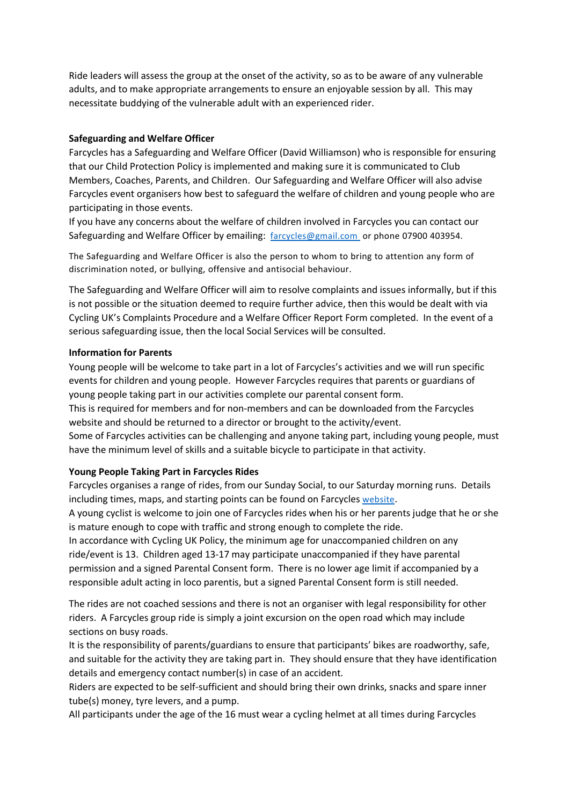Ride leaders will assess the group at the onset of the activity, so as to be aware of any vulnerable adults, and to make appropriate arrangements to ensure an enjoyable session by all. This may necessitate buddying of the vulnerable adult with an experienced rider.

# **Safeguarding and Welfare Officer**

Farcycles has a Safeguarding and Welfare Officer (David Williamson) who is responsible for ensuring that our Child Protection Policy is implemented and making sure it is communicated to Club Members, Coaches, Parents, and Children. Our Safeguarding and Welfare Officer will also advise Farcycles event organisers how best to safeguard the welfare of children and young people who are participating in those events.

If you have any concerns about the welfare of children involved in Farcycles you can contact our Safeguarding and Welfare Officer by emailing: farcycles@gmail.com or phone 07900 403954.

The Safeguarding and Welfare Officer is also the person to whom to bring to attention any form of discrimination noted, or bullying, offensive and antisocial behaviour.

The Safeguarding and Welfare Officer will aim to resolve complaints and issues informally, but if this is not possible or the situation deemed to require further advice, then this would be dealt with via Cycling UK's Complaints Procedure and a Welfare Officer Report Form completed. In the event of a serious safeguarding issue, then the local Social Services will be consulted.

# **Information for Parents**

Young people will be welcome to take part in a lot of Farcycles's activities and we will run specific events for children and young people. However Farcycles requires that parents or guardians of young people taking part in our activities complete our parental consent form.

This is required for members and for non-members and can be downloaded from the Farcycles website and should be returned to a director or brought to the activity/event.

Some of Farcycles activities can be challenging and anyone taking part, including young people, must have the minimum level of skills and a suitable bicycle to participate in that activity.

# **Young People Taking Part in Farcycles Rides**

Farcycles organises a range of rides, from our Sunday Social, to our Saturday morning runs. Details including times, maps, and starting points can be found on Farcycles website.

A young cyclist is welcome to join one of Farcycles rides when his or her parents judge that he or she is mature enough to cope with traffic and strong enough to complete the ride.

In accordance with Cycling UK Policy, the minimum age for unaccompanied children on any ride/event is 13. Children aged 13-17 may participate unaccompanied if they have parental permission and a signed Parental Consent form. There is no lower age limit if accompanied by a responsible adult acting in loco parentis, but a signed Parental Consent form is still needed.

The rides are not coached sessions and there is not an organiser with legal responsibility for other riders. A Farcycles group ride is simply a joint excursion on the open road which may include sections on busy roads.

It is the responsibility of parents/guardians to ensure that participants' bikes are roadworthy, safe, and suitable for the activity they are taking part in. They should ensure that they have identification details and emergency contact number(s) in case of an accident.

Riders are expected to be self-sufficient and should bring their own drinks, snacks and spare inner tube(s) money, tyre levers, and a pump.

All participants under the age of the 16 must wear a cycling helmet at all times during Farcycles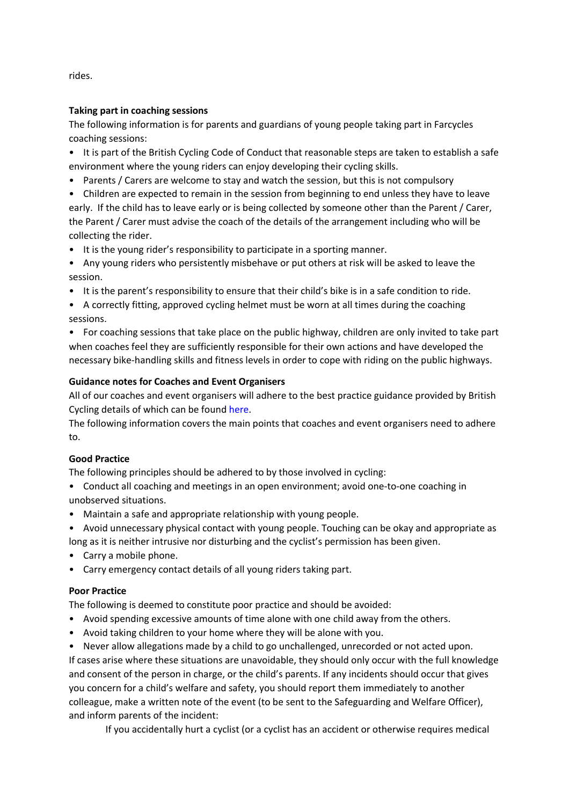rides.

# **Taking part in coaching sessions**

The following information is for parents and guardians of young people taking part in Farcycles coaching sessions:

- It is part of the British Cycling Code of Conduct that reasonable steps are taken to establish a safe environment where the young riders can enjoy developing their cycling skills.
- Parents / Carers are welcome to stay and watch the session, but this is not compulsory
- Children are expected to remain in the session from beginning to end unless they have to leave

early. If the child has to leave early or is being collected by someone other than the Parent / Carer, the Parent / Carer must advise the coach of the details of the arrangement including who will be collecting the rider.

- It is the young rider's responsibility to participate in a sporting manner.
- Any young riders who persistently misbehave or put others at risk will be asked to leave the session.
- It is the parent's responsibility to ensure that their child's bike is in a safe condition to ride.
- A correctly fitting, approved cycling helmet must be worn at all times during the coaching sessions.

• For coaching sessions that take place on the public highway, children are only invited to take part when coaches feel they are sufficiently responsible for their own actions and have developed the necessary bike-handling skills and fitness levels in order to cope with riding on the public highways.

# **Guidance notes for Coaches and Event Organisers**

All of our coaches and event organisers will adhere to the best practice guidance provided by British Cycling details of which can be found here.

The following information covers the main points that coaches and event organisers need to adhere to.

## **Good Practice**

The following principles should be adhered to by those involved in cycling:

- Conduct all coaching and meetings in an open environment; avoid one-to-one coaching in unobserved situations.
- Maintain a safe and appropriate relationship with young people.
- Avoid unnecessary physical contact with young people. Touching can be okay and appropriate as long as it is neither intrusive nor disturbing and the cyclist's permission has been given.
- Carry a mobile phone.
- Carry emergency contact details of all young riders taking part.

## **Poor Practice**

The following is deemed to constitute poor practice and should be avoided:

- Avoid spending excessive amounts of time alone with one child away from the others.
- Avoid taking children to your home where they will be alone with you.
- Never allow allegations made by a child to go unchallenged, unrecorded or not acted upon.

If cases arise where these situations are unavoidable, they should only occur with the full knowledge and consent of the person in charge, or the child's parents. If any incidents should occur that gives you concern for a child's welfare and safety, you should report them immediately to another colleague, make a written note of the event (to be sent to the Safeguarding and Welfare Officer), and inform parents of the incident:

If you accidentally hurt a cyclist (or a cyclist has an accident or otherwise requires medical